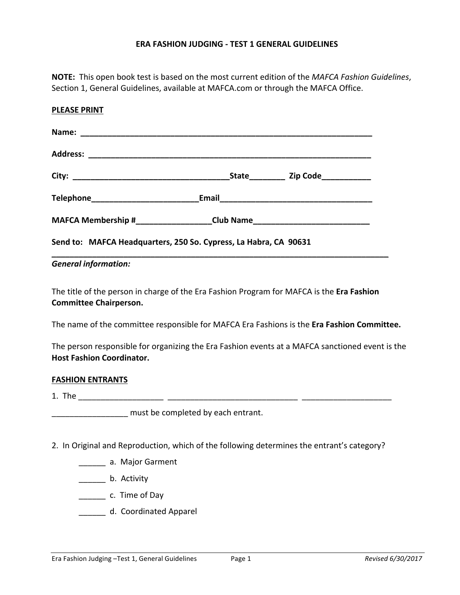## **ERA FASHION JUDGING - TEST 1 GENERAL GUIDELINES**

**NOTE:** This open book test is based on the most current edition of the *MAFCA Fashion Guidelines*, Section 1, General Guidelines, available at MAFCA.com or through the MAFCA Office.

| <b>PLEASE PRINT</b>                                                              |                                                   |
|----------------------------------------------------------------------------------|---------------------------------------------------|
|                                                                                  |                                                   |
|                                                                                  |                                                   |
|                                                                                  | <b>State_____________ Zip Code_______________</b> |
| Telephone_______________________________Email___________________________________ |                                                   |
| MAFCA Membership #_____________________Club Name________________________________ |                                                   |
| Send to: MAFCA Headquarters, 250 So. Cypress, La Habra, CA 90631                 |                                                   |

## *General information:*

The title of the person in charge of the Era Fashion Program for MAFCA is the **Era Fashion Committee Chairperson.**

The name of the committee responsible for MAFCA Era Fashions is the **Era Fashion Committee.**

The person responsible for organizing the Era Fashion events at a MAFCA sanctioned event is the **Host Fashion Coordinator.** 

#### **FASHION ENTRANTS**

1. The \_\_\_\_\_\_\_\_\_\_\_\_\_\_\_\_\_\_\_ \_\_\_\_\_\_\_\_\_\_\_\_\_\_\_\_\_\_\_\_\_\_\_\_\_\_\_\_\_ \_\_\_\_\_\_\_\_\_\_\_\_\_\_\_\_\_\_\_\_

must be completed by each entrant.

- 2. In Original and Reproduction, which of the following determines the entrant's category?
	- \_\_\_\_\_\_ a. Major Garment
	- \_\_\_\_\_\_\_ b. Activity
	- \_\_\_\_\_\_\_\_\_\_ c. Time of Day
	- \_\_\_\_\_\_\_ d. Coordinated Apparel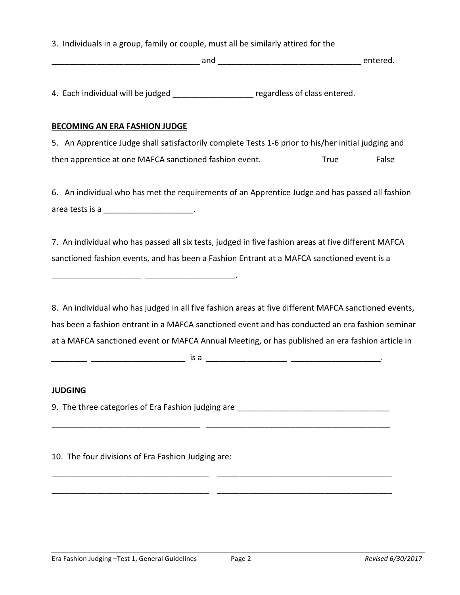3. Individuals in a group, family or couple, must all be similarly attired for the

and and  $\overline{a}$  and  $\overline{a}$  and  $\overline{a}$  and  $\overline{a}$  and  $\overline{a}$  and  $\overline{a}$  and  $\overline{a}$  and  $\overline{a}$  and  $\overline{a}$  and  $\overline{a}$  and  $\overline{a}$  and  $\overline{a}$  and  $\overline{a}$  and  $\overline{a}$  and  $\overline{a}$  and  $\overline{a}$  and  $\overline{a$ 

4. Each individual will be judged \_\_\_\_\_\_\_\_\_\_\_\_\_\_\_\_\_\_\_ regardless of class entered.

## **BECOMING AN ERA FASHION JUDGE**

5. An Apprentice Judge shall satisfactorily complete Tests 1-6 prior to his/her initial judging and then apprentice at one MAFCA sanctioned fashion event. True True False

6. An individual who has met the requirements of an Apprentice Judge and has passed all fashion area tests is a \_\_\_\_\_\_\_\_\_\_\_\_\_\_\_\_\_\_\_\_.

7. An individual who has passed all six tests, judged in five fashion areas at five different MAFCA sanctioned fashion events, and has been a Fashion Entrant at a MAFCA sanctioned event is a

8. An individual who has judged in all five fashion areas at five different MAFCA sanctioned events, has been a fashion entrant in a MAFCA sanctioned event and has conducted an era fashion seminar at a MAFCA sanctioned event or MAFCA Annual Meeting, or has published an era fashion article in 

\_\_\_\_\_\_\_\_\_\_\_\_\_\_\_\_\_\_\_\_\_\_\_\_\_\_\_\_\_\_\_\_\_ \_\_\_\_\_\_\_\_\_\_\_\_\_\_\_\_\_\_\_\_\_\_\_\_\_\_\_\_\_\_\_\_\_\_\_\_\_\_\_\_\_

\_\_\_\_\_\_\_\_\_\_\_\_\_\_\_\_\_\_\_\_\_\_\_\_\_\_\_\_\_\_\_\_\_\_\_ \_\_\_\_\_\_\_\_\_\_\_\_\_\_\_\_\_\_\_\_\_\_\_\_\_\_\_\_\_\_\_\_\_\_\_\_\_\_\_

\_\_\_\_\_\_\_\_\_\_\_\_\_\_\_\_\_\_\_\_\_\_\_\_\_\_\_\_\_\_\_\_\_\_\_ \_\_\_\_\_\_\_\_\_\_\_\_\_\_\_\_\_\_\_\_\_\_\_\_\_\_\_\_\_\_\_\_\_\_\_\_\_\_\_

*\_\_\_\_\_\_\_\_ \_\_\_\_\_\_\_\_\_\_\_\_\_\_\_\_\_\_\_\_\_* is a \_\_\_\_\_\_\_\_\_\_\_\_\_\_\_\_\_\_ \_\_\_\_\_\_\_\_\_\_\_\_\_\_\_\_\_\_\_\_.

# **JUDGING**

9. The three categories of Era Fashion judging are \_\_\_\_\_\_\_\_\_\_\_\_\_\_\_\_\_\_\_\_\_\_\_\_\_\_\_\_\_

10. The four divisions of Era Fashion Judging are:

 $\frac{1}{2}$  ,  $\frac{1}{2}$  ,  $\frac{1}{2}$  ,  $\frac{1}{2}$  ,  $\frac{1}{2}$  ,  $\frac{1}{2}$  ,  $\frac{1}{2}$  ,  $\frac{1}{2}$  ,  $\frac{1}{2}$  ,  $\frac{1}{2}$  ,  $\frac{1}{2}$  ,  $\frac{1}{2}$  ,  $\frac{1}{2}$  ,  $\frac{1}{2}$  ,  $\frac{1}{2}$  ,  $\frac{1}{2}$  ,  $\frac{1}{2}$  ,  $\frac{1}{2}$  ,  $\frac{1$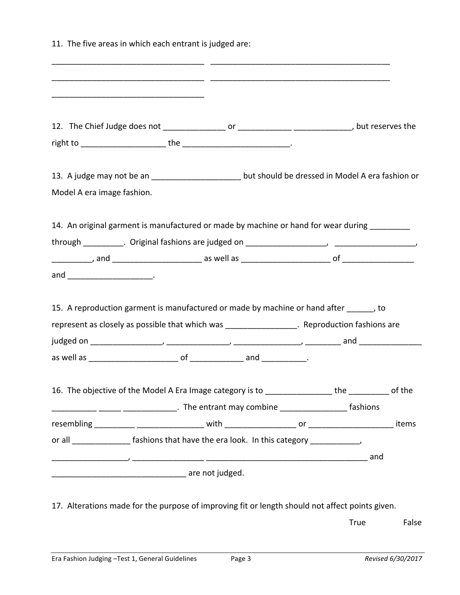11. The five areas in which each entrant is judged are: \_\_\_\_\_\_\_\_\_\_\_\_\_\_\_\_\_\_\_\_\_\_\_\_\_\_\_\_\_\_\_\_\_\_ \_\_\_\_\_\_\_\_\_\_\_\_\_\_\_\_\_\_\_\_\_\_\_\_\_\_\_\_\_\_\_\_\_\_\_\_\_\_\_\_ \_\_\_\_\_\_\_\_\_\_\_\_\_\_\_\_\_\_\_\_\_\_\_\_\_\_\_\_\_\_\_\_\_\_ \_\_\_\_\_\_\_\_\_\_\_\_\_\_\_\_\_\_\_\_\_\_\_\_\_\_\_\_\_\_\_\_\_\_\_\_\_\_\_\_ \_\_\_\_\_\_\_\_\_\_\_\_\_\_\_\_\_\_\_\_\_\_\_\_\_\_\_\_\_\_\_\_\_\_ 12. The Chief Judge does not \_\_\_\_\_\_\_\_\_\_\_\_\_\_ or \_\_\_\_\_\_\_\_\_\_\_\_ \_\_\_\_\_\_\_\_\_\_\_\_\_, but reserves the right to \_\_\_\_\_\_\_\_\_\_\_\_\_\_\_\_\_\_\_ the \_\_\_\_\_\_\_\_\_\_\_\_\_\_\_\_\_\_\_\_\_\_\_\_. 13. A judge may not be an \_\_\_\_\_\_\_\_\_\_\_\_\_\_\_\_\_\_\_\_\_\_\_ but should be dressed in Model A era fashion or Model A era image fashion. 14. An original garment is manufactured or made by machine or hand for wear during through \_\_\_\_\_\_\_\_\_. Original fashions are judged on \_\_\_\_\_\_\_\_\_\_\_\_\_\_\_\_\_\_, \_\_\_\_\_\_\_\_\_\_\_\_\_\_\_\_\_\_, \_\_\_\_\_\_\_\_\_, and \_\_\_\_\_\_\_\_\_\_\_\_\_\_\_\_\_\_\_\_ as well as \_\_\_\_\_\_\_\_\_\_\_\_\_\_\_\_\_\_\_\_ of \_\_\_\_\_\_\_\_\_\_\_\_\_\_\_\_ and \_\_\_\_\_\_\_\_\_\_\_\_\_\_\_\_\_\_\_. 15. A reproduction garment is manufactured or made by machine or hand after \_\_\_\_\_\_, to represent as closely as possible that which was \_\_\_\_\_\_\_\_\_\_\_\_\_\_\_\_\_. Reproduction fashions are judged on \_\_\_\_\_\_\_\_\_\_\_\_\_\_\_\_, \_\_\_\_\_\_\_\_\_\_\_\_\_\_, \_\_\_\_\_\_\_\_\_\_\_\_\_\_\_, \_\_\_\_\_\_\_\_ and \_\_\_\_\_\_\_\_\_\_\_\_\_\_ as well as \_\_\_\_\_\_\_\_\_\_\_\_\_\_\_\_\_\_\_\_ of \_\_\_\_\_\_\_\_\_\_\_\_ and \_\_\_\_\_\_\_\_\_\_. 16. The objective of the Model A Era Image category is to \_\_\_\_\_\_\_\_\_\_\_\_\_\_\_\_\_ the \_\_\_\_\_\_\_\_\_\_ of the \_\_\_\_\_\_\_\_\_\_ \_\_\_\_\_ \_\_\_\_\_\_\_\_\_\_\_\_. The entrant may combine \_\_\_\_\_\_\_\_\_\_\_\_\_\_\_ fashions resembling \_\_\_\_\_\_\_\_\_ \_\_\_\_\_\_\_\_\_\_\_\_\_\_\_ with \_\_\_\_\_\_\_\_\_\_\_\_\_\_\_\_ or \_\_\_\_\_\_\_\_\_\_\_\_\_\_\_\_\_\_\_ items or all \_\_\_\_\_\_\_\_\_\_\_\_\_\_\_\_ fashions that have the era look. In this category \_\_\_\_\_\_\_\_\_\_\_, \_\_\_\_\_\_\_\_\_\_\_\_\_\_\_\_\_, \_\_\_\_\_\_\_\_\_\_\_\_\_\_\_\_ \_\_\_\_\_\_\_\_\_\_\_\_\_\_\_\_\_\_\_\_\_\_\_\_\_\_\_\_\_\_\_\_\_\_\_\_ and are not judged.

17. Alterations made for the purpose of improving fit or length should not affect points given.

True False